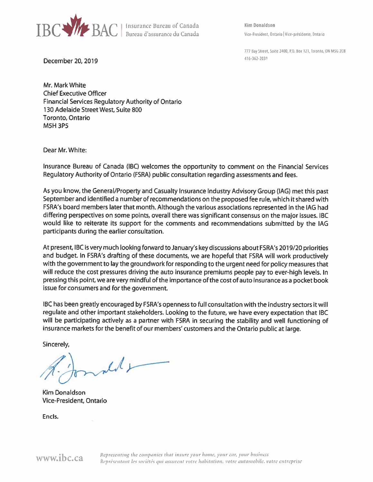

**Kim Donaldson** Vice-President, Ontario | Vice-présidente, Ontario

777 Bay Street, Suite 2400, P.O. Box 121, Toronto, ON M5G 2C8 416-362-2031

December 20, 2019

Mr. Mark White **Chief Executive Officer** Financial Services Regulatory Authority of Ontario 130 Adelaide Street West, Suite 800 Toronto, Ontario **M5H3P5** 

Dear Mr. White:

Insurance Bureau of Canada (IBC) welcomes the opportunity to comment on the Financial Services Regulatory Authority of Ontario (FSRA) public consultation regarding assessments and fees.

As you know, the General/Property and Casualty Insurance Industry Advisory Group (IAG) met this past September and identified a number of recommendations on the proposed fee rule, which it shared with FSRA's board members later that month. Although the various associations represented in the IAG had differing perspectives on some points, overall there was significant consensus on the major issues. IBC would like to reiterate its support for the comments and recommendations submitted by the IAG participants during the earlier consultation.

At present, IBC is very much looking forward to January's key discussions about FSRA's 2019/20 priorities and budget. In FSRA's drafting of these documents, we are hopeful that FSRA will work productively with the government to lay the groundwork for responding to the urgent need for policy measures that will reduce the cost pressures driving the auto insurance premiums people pay to ever-high levels. In pressing this point, we are very mindful of the importance of the cost of auto insurance as a pocket book issue for consumers and for the government.

IBC has been greatly encouraged by FSRA's openness to full consultation with the industry sectors it will regulate and other important stakeholders. Looking to the future, we have every expectation that IBC will be participating actively as a partner with FSRA in securing the stability and well functioning of insurance markets for the benefit of our members' customers and the Ontario public at large.

Sincerely,

ille

**Kim Donaldson** Vice-President, Ontario

Encls.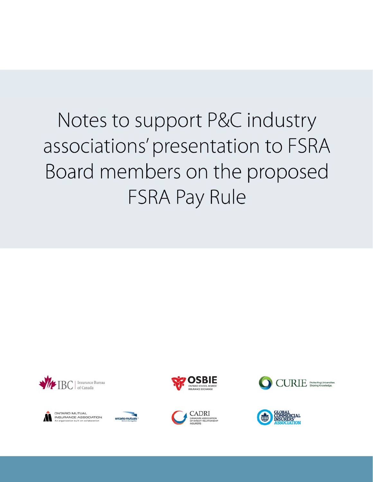# Notes to support P&C industry associations' presentation to FSRA Board members on the proposed **FSRA Pay Rule**





ONTARIO MUTUAL **INSURANCE ASSOCIATION** 







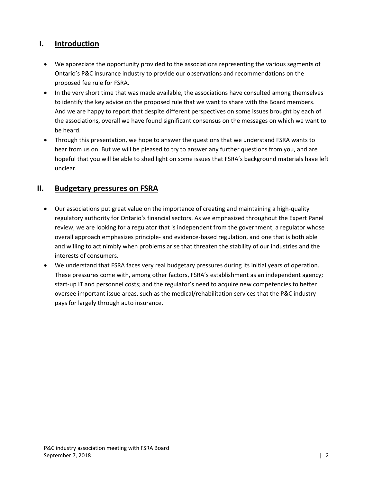#### **I. Introduction**

- We appreciate the opportunity provided to the associations representing the various segments of Ontario's P&C insurance industry to provide our observations and recommendations on the proposed fee rule for FSRA.
- In the very short time that was made available, the associations have consulted among themselves to identify the key advice on the proposed rule that we want to share with the Board members. And we are happy to report that despite different perspectives on some issues brought by each of the associations, overall we have found significant consensus on the messages on which we want to be heard.
- Through this presentation, we hope to answer the questions that we understand FSRA wants to hear from us on. But we will be pleased to try to answer any further questions from you, and are hopeful that you will be able to shed light on some issues that FSRA's background materials have left unclear.

### **II. Budgetary pressures on FSRA**

- Our associations put great value on the importance of creating and maintaining a high-quality regulatory authority for Ontario's financial sectors. As we emphasized throughout the Expert Panel review, we are looking for a regulator that is independent from the government, a regulator whose overall approach emphasizes principle‐ and evidence‐based regulation, and one that is both able and willing to act nimbly when problems arise that threaten the stability of our industries and the interests of consumers.
- We understand that FSRA faces very real budgetary pressures during its initial years of operation. These pressures come with, among other factors, FSRA's establishment as an independent agency; start-up IT and personnel costs; and the regulator's need to acquire new competencies to better oversee important issue areas, such as the medical/rehabilitation services that the P&C industry pays for largely through auto insurance.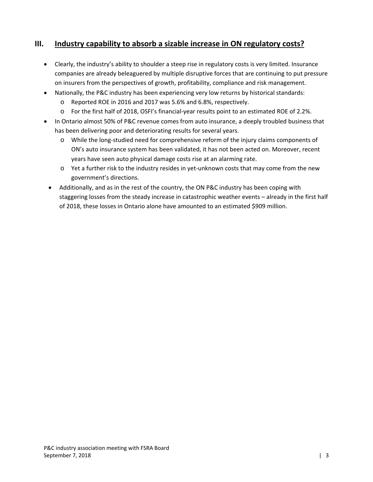## **III. Industry capability to absorb a sizable increase in ON regulatory costs?**

- Clearly, the industry's ability to shoulder a steep rise in regulatory costs is very limited. Insurance companies are already beleaguered by multiple disruptive forces that are continuing to put pressure on insurers from the perspectives of growth, profitability, compliance and risk management.
- Nationally, the P&C industry has been experiencing very low returns by historical standards:
	- o Reported ROE in 2016 and 2017 was 5.6% and 6.8%, respectively.
	- o For the first half of 2018, OSFI's financial‐year results point to an estimated ROE of 2.2%.
- In Ontario almost 50% of P&C revenue comes from auto insurance, a deeply troubled business that has been delivering poor and deteriorating results for several years.
	- o While the long‐studied need for comprehensive reform of the injury claims components of ON's auto insurance system has been validated, it has not been acted on. Moreover, recent years have seen auto physical damage costs rise at an alarming rate.
	- o Yet a further risk to the industry resides in yet‐unknown costs that may come from the new government's directions.
	- Additionally, and as in the rest of the country, the ON P&C industry has been coping with staggering losses from the steady increase in catastrophic weather events – already in the first half of 2018, these losses in Ontario alone have amounted to an estimated \$909 million.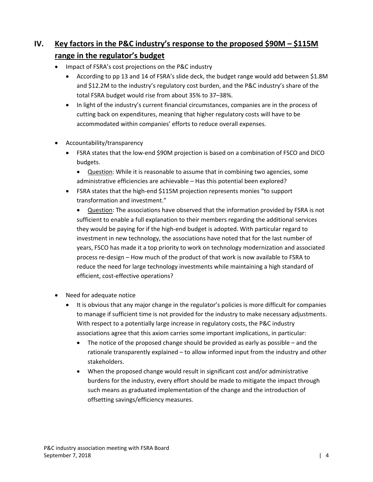## **IV. Key factors in the P&C industry's response to the proposed \$90M – \$115M range in the regulator's budget**

- Impact of FSRA's cost projections on the P&C industry
	- According to pp 13 and 14 of FSRA's slide deck, the budget range would add between \$1.8M and \$12.2M to the industry's regulatory cost burden, and the P&C industry's share of the total FSRA budget would rise from about 35% to 37–38%.
	- In light of the industry's current financial circumstances, companies are in the process of cutting back on expenditures, meaning that higher regulatory costs will have to be accommodated within companies' efforts to reduce overall expenses.
- Accountability/transparency
	- FSRA states that the low‐end \$90M projection is based on a combination of FSCO and DICO budgets.
		- Question: While it is reasonable to assume that in combining two agencies, some administrative efficiencies are achievable – Has this potential been explored?
	- FSRA states that the high‐end \$115M projection represents monies "to support transformation and investment."

 Question: The associations have observed that the information provided by FSRA is not sufficient to enable a full explanation to their members regarding the additional services they would be paying for if the high‐end budget is adopted. With particular regard to investment in new technology, the associations have noted that for the last number of years, FSCO has made it a top priority to work on technology modernization and associated process re‐design – How much of the product of that work is now available to FSRA to reduce the need for large technology investments while maintaining a high standard of efficient, cost-effective operations?

- Need for adequate notice
	- It is obvious that any major change in the regulator's policies is more difficult for companies to manage if sufficient time is not provided for the industry to make necessary adjustments. With respect to a potentially large increase in regulatory costs, the P&C industry associations agree that this axiom carries some important implications, in particular:
		- The notice of the proposed change should be provided as early as possible and the rationale transparently explained – to allow informed input from the industry and other stakeholders.
		- When the proposed change would result in significant cost and/or administrative burdens for the industry, every effort should be made to mitigate the impact through such means as graduated implementation of the change and the introduction of offsetting savings/efficiency measures.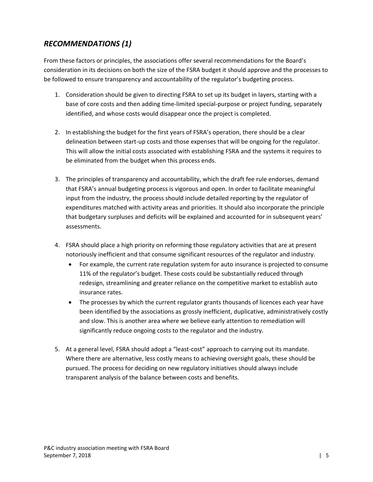## *RECOMMENDATIONS (1)*

From these factors or principles, the associations offer several recommendations for the Board's consideration in its decisions on both the size of the FSRA budget it should approve and the processes to be followed to ensure transparency and accountability of the regulator's budgeting process.

- 1. Consideration should be given to directing FSRA to set up its budget in layers, starting with a base of core costs and then adding time-limited special-purpose or project funding, separately identified, and whose costs would disappear once the project is completed.
- 2. In establishing the budget for the first years of FSRA's operation, there should be a clear delineation between start-up costs and those expenses that will be ongoing for the regulator. This will allow the initial costs associated with establishing FSRA and the systems it requires to be eliminated from the budget when this process ends.
- 3. The principles of transparency and accountability, which the draft fee rule endorses, demand that FSRA's annual budgeting process is vigorous and open. In order to facilitate meaningful input from the industry, the process should include detailed reporting by the regulator of expenditures matched with activity areas and priorities. It should also incorporate the principle that budgetary surpluses and deficits will be explained and accounted for in subsequent years' assessments.
- 4. FSRA should place a high priority on reforming those regulatory activities that are at present notoriously inefficient and that consume significant resources of the regulator and industry.
	- For example, the current rate regulation system for auto insurance is projected to consume 11% of the regulator's budget. These costs could be substantially reduced through redesign, streamlining and greater reliance on the competitive market to establish auto insurance rates.
	- The processes by which the current regulator grants thousands of licences each year have been identified by the associations as grossly inefficient, duplicative, administratively costly and slow. This is another area where we believe early attention to remediation will significantly reduce ongoing costs to the regulator and the industry.
- 5. At a general level, FSRA should adopt a "least‐cost" approach to carrying out its mandate. Where there are alternative, less costly means to achieving oversight goals, these should be pursued. The process for deciding on new regulatory initiatives should always include transparent analysis of the balance between costs and benefits.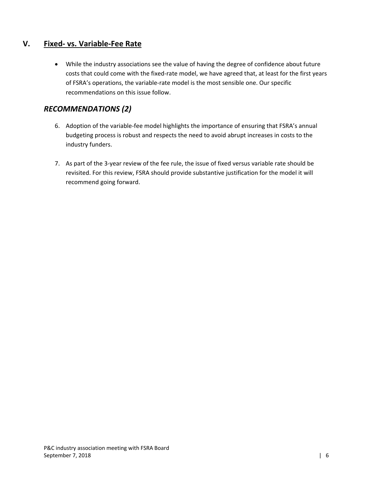#### **V. Fixed‐ vs. Variable‐Fee Rate**

 While the industry associations see the value of having the degree of confidence about future costs that could come with the fixed‐rate model, we have agreed that, at least for the first years of FSRA's operations, the variable‐rate model is the most sensible one. Our specific recommendations on this issue follow.

## *RECOMMENDATIONS (2)*

- 6. Adoption of the variable‐fee model highlights the importance of ensuring that FSRA's annual budgeting process is robust and respects the need to avoid abrupt increases in costs to the industry funders.
- 7. As part of the 3‐year review of the fee rule, the issue of fixed versus variable rate should be revisited. For this review, FSRA should provide substantive justification for the model it will recommend going forward.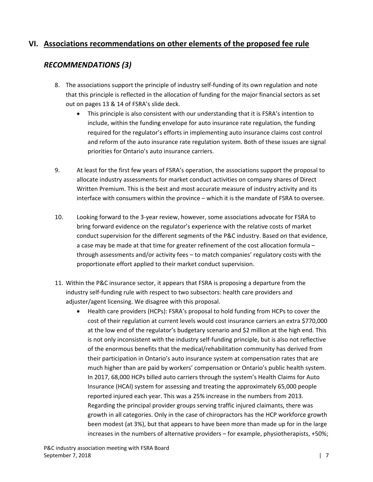#### **VI. Associations recommendations on other elements of the proposed fee rule**

## *RECOMMENDATIONS (3)*

- 8. The associations support the principle of industry self‐funding of its own regulation and note that this principle is reflected in the allocation of funding for the major financial sectors as set out on pages 13 & 14 of FSRA's slide deck.
	- This principle is also consistent with our understanding that it is FSRA's intention to include, within the funding envelope for auto insurance rate regulation, the funding required for the regulator's efforts in implementing auto insurance claims cost control and reform of the auto insurance rate regulation system. Both of these issues are signal priorities for Ontario's auto insurance carriers.
- 9. At least for the first few years of FSRA's operation, the associations support the proposal to allocate industry assessments for market conduct activities on company shares of Direct Written Premium. This is the best and most accurate measure of industry activity and its interface with consumers within the province – which it is the mandate of FSRA to oversee.
- 10. Looking forward to the 3‐year review, however, some associations advocate for FSRA to bring forward evidence on the regulator's experience with the relative costs of market conduct supervision for the different segments of the P&C industry. Based on that evidence, a case may be made at that time for greater refinement of the cost allocation formula – through assessments and/or activity fees – to match companies' regulatory costs with the proportionate effort applied to their market conduct supervision.
- 11. Within the P&C insurance sector, it appears that FSRA is proposing a departure from the industry self‐funding rule with respect to two subsectors: health care providers and adjuster/agent licensing. We disagree with this proposal.
	- Health care providers (HCPs): FSRA's proposal to hold funding from HCPs to cover the cost of their regulation at current levels would cost insurance carriers an extra \$770,000 at the low end of the regulator's budgetary scenario and \$2 million at the high end. This is not only inconsistent with the industry self‐funding principle, but is also not reflective of the enormous benefits that the medical/rehabilitation community has derived from their participation in Ontario's auto insurance system at compensation rates that are much higher than are paid by workers' compensation or Ontario's public health system. In 2017, 68,000 HCPs billed auto carriers through the system's Health Claims for Auto Insurance (HCAI) system for assessing and treating the approximately 65,000 people reported injured each year. This was a 25% increase in the numbers from 2013. Regarding the principal provider groups serving traffic injured claimants, there was growth in all categories. Only in the case of chiropractors has the HCP workforce growth been modest (at 3%), but that appears to have been more than made up for in the large increases in the numbers of alternative providers – for example, physiotherapists, +50%;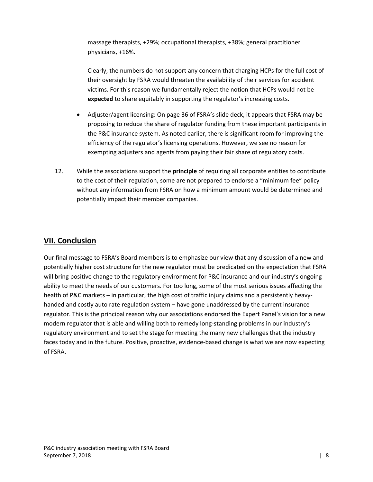massage therapists, +29%; occupational therapists, +38%; general practitioner physicians, +16%.

Clearly, the numbers do not support any concern that charging HCPs for the full cost of their oversight by FSRA would threaten the availability of their services for accident victims. For this reason we fundamentally reject the notion that HCPs would not be **expected** to share equitably in supporting the regulator's increasing costs.

- Adjuster/agent licensing: On page 36 of FSRA's slide deck, it appears that FSRA may be proposing to reduce the share of regulator funding from these important participants in the P&C insurance system. As noted earlier, there is significant room for improving the efficiency of the regulator's licensing operations. However, we see no reason for exempting adjusters and agents from paying their fair share of regulatory costs.
- 12. While the associations support the **principle** of requiring all corporate entities to contribute to the cost of their regulation, some are not prepared to endorse a "minimum fee" policy without any information from FSRA on how a minimum amount would be determined and potentially impact their member companies.

#### **VII. Conclusion**

Our final message to FSRA's Board members is to emphasize our view that any discussion of a new and potentially higher cost structure for the new regulator must be predicated on the expectation that FSRA will bring positive change to the regulatory environment for P&C insurance and our industry's ongoing ability to meet the needs of our customers. For too long, some of the most serious issues affecting the health of P&C markets – in particular, the high cost of traffic injury claims and a persistently heavyhanded and costly auto rate regulation system – have gone unaddressed by the current insurance regulator. This is the principal reason why our associations endorsed the Expert Panel's vision for a new modern regulator that is able and willing both to remedy long-standing problems in our industry's regulatory environment and to set the stage for meeting the many new challenges that the industry faces today and in the future. Positive, proactive, evidence‐based change is what we are now expecting of FSRA.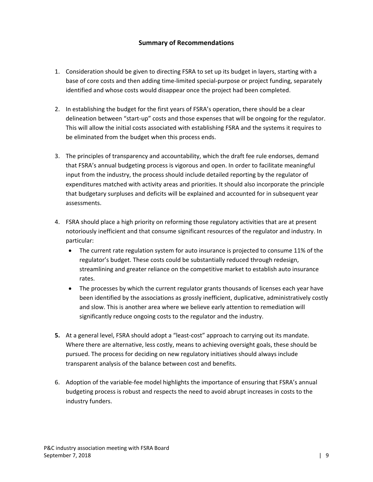#### **Summary of Recommendations**

- 1. Consideration should be given to directing FSRA to set up its budget in layers, starting with a base of core costs and then adding time-limited special-purpose or project funding, separately identified and whose costs would disappear once the project had been completed.
- 2. In establishing the budget for the first years of FSRA's operation, there should be a clear delineation between "start‐up" costs and those expenses that will be ongoing for the regulator. This will allow the initial costs associated with establishing FSRA and the systems it requires to be eliminated from the budget when this process ends.
- 3. The principles of transparency and accountability, which the draft fee rule endorses, demand that FSRA's annual budgeting process is vigorous and open. In order to facilitate meaningful input from the industry, the process should include detailed reporting by the regulator of expenditures matched with activity areas and priorities. It should also incorporate the principle that budgetary surpluses and deficits will be explained and accounted for in subsequent year assessments.
- 4. FSRA should place a high priority on reforming those regulatory activities that are at present notoriously inefficient and that consume significant resources of the regulator and industry. In particular:
	- The current rate regulation system for auto insurance is projected to consume 11% of the regulator's budget. These costs could be substantially reduced through redesign, streamlining and greater reliance on the competitive market to establish auto insurance rates.
	- The processes by which the current regulator grants thousands of licenses each year have been identified by the associations as grossly inefficient, duplicative, administratively costly and slow. This is another area where we believe early attention to remediation will significantly reduce ongoing costs to the regulator and the industry.
- **5.** At a general level, FSRA should adopt a "least-cost" approach to carrying out its mandate. Where there are alternative, less costly, means to achieving oversight goals, these should be pursued. The process for deciding on new regulatory initiatives should always include transparent analysis of the balance between cost and benefits.
- 6. Adoption of the variable‐fee model highlights the importance of ensuring that FSRA's annual budgeting process is robust and respects the need to avoid abrupt increases in costs to the industry funders.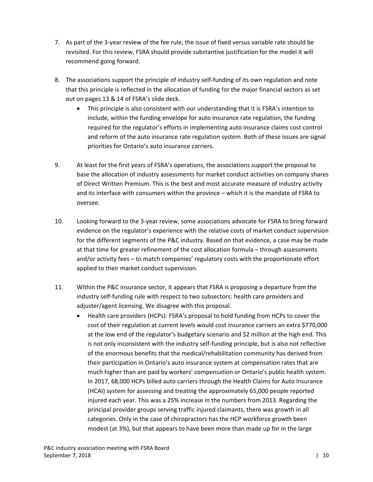- 7. As part of the 3‐year review of the fee rule, the issue of fixed versus variable rate should be revisited. For this review, FSRA should provide substantive justification for the model it will recommend going forward.
- 8. The associations support the principle of industry self-funding of its own regulation and note that this principle is reflected in the allocation of funding for the major financial sectors as set out on pages 13 & 14 of FSRA's slide deck.
	- This principle is also consistent with our understanding that it is FSRA's intention to include, within the funding envelope for auto insurance rate regulation, the funding required for the regulator's efforts in implementing auto insurance claims cost control and reform of the auto insurance rate regulation system. Both of these issues are signal priorities for Ontario's auto insurance carriers.
- 9. At least for the first years of FSRA's operations, the associations support the proposal to base the allocation of industry assessments for market conduct activities on company shares of Direct Written Premium. This is the best and most accurate measure of industry activity and its interface with consumers within the province – which it is the mandate of FSRA to oversee.
- 10. Looking forward to the 3-year review, some associations advocate for FSRA to bring forward evidence on the regulator's experience with the relative costs of market conduct supervision for the different segments of the P&C industry. Based on that evidence, a case may be made at that time for greater refinement of the cost allocation formula – through assessments and/or activity fees – to match companies' regulatory costs with the proportionate effort applied to their market conduct supervision.
- 11. Within the P&C insurance sector, it appears that FSRA is proposing a departure from the industry self‐funding rule with respect to two subsectors: health care providers and adjuster/agent licensing. We disagree with this proposal.
	- Health care providers (HCPs): FSRA's proposal to hold funding from HCPs to cover the cost of their regulation at current levels would cost insurance carriers an extra \$770,000 at the low end of the regulator's budgetary scenario and \$2 million at the high end. This is not only inconsistent with the industry self-funding principle, but is also not reflective of the enormous benefits that the medical/rehabilitation community has derived from their participation in Ontario's auto insurance system at compensation rates that are much higher than are paid by workers' compensation or Ontario's public health system. In 2017, 68,000 HCPs billed auto carriers through the Health Claims for Auto Insurance (HCAI) system for assessing and treating the approximately 65,000 people reported injured each year. This was a 25% increase in the numbers from 2013. Regarding the principal provider groups serving traffic injured claimants, there was growth in all categories. Only in the case of chiropractors has the HCP workforce growth been modest (at 3%), but that appears to have been more than made up for in the large